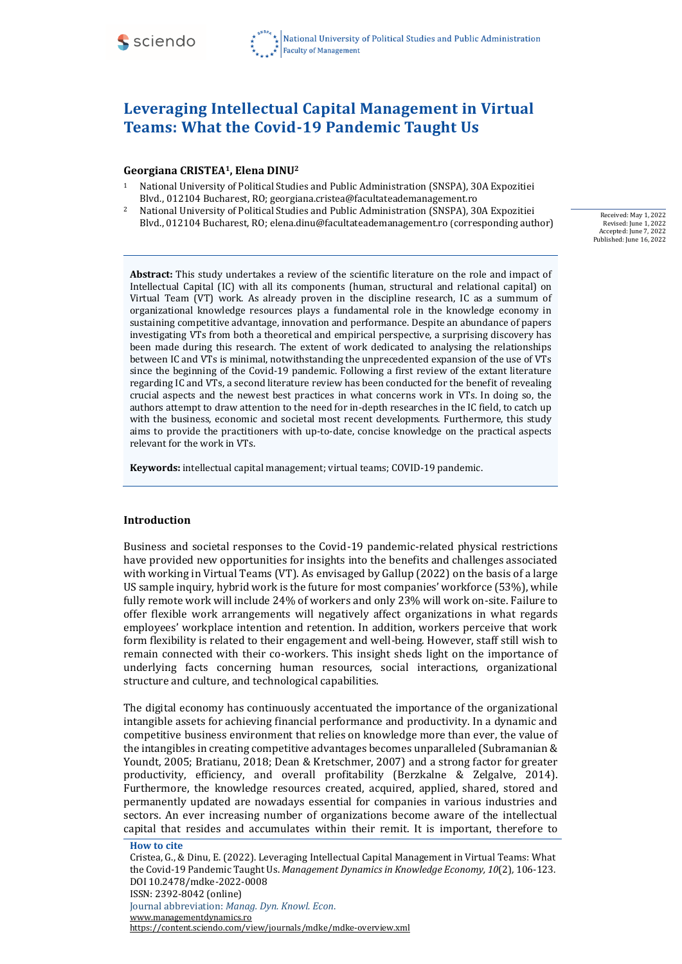

#### **Georgiana CRISTEA1, Elena DINU<sup>2</sup>**

- <sup>1</sup> National University of Political Studies and Public Administration (SNSPA), 30A Expozitiei Blvd., 012104 Bucharest, RO; georgiana.cristea@facultateademanagement.ro
- <sup>2</sup> National University of Political Studies and Public Administration (SNSPA), 30A Expozitiei Blvd., 012104 Bucharest, RO; elena.dinu@facultateademanagement.ro (corresponding author)

Received: May 1, 2022 Revised: June 1, 2022 Accepted: June 7, 2022 Published: June 16, 2022

**Abstract:** This study undertakes a review of the scientific literature on the role and impact of Intellectual Capital (IC) with all its components (human, structural and relational capital) on Virtual Team (VT) work. As already proven in the discipline research, IC as a summum of organizational knowledge resources plays a fundamental role in the knowledge economy in sustaining competitive advantage, innovation and performance. Despite an abundance of papers investigating VTs from both a theoretical and empirical perspective, a surprising discovery has been made during this research. The extent of work dedicated to analysing the relationships between IC and VTs is minimal, notwithstanding the unprecedented expansion of the use of VTs since the beginning of the Covid-19 pandemic. Following a first review of the extant literature regarding IC and VTs, a second literature review has been conducted for the benefit of revealing crucial aspects and the newest best practices in what concerns work in VTs. In doing so, the authors attempt to draw attention to the need for in-depth researches in the IC field, to catch up with the business, economic and societal most recent developments. Furthermore, this study aims to provide the practitioners with up-to-date, concise knowledge on the practical aspects relevant for the work in VTs.

**Keywords:** intellectual capital management; virtual teams; COVID-19 pandemic.

#### **Introduction**

Business and societal responses to the Covid-19 pandemic-related physical restrictions have provided new opportunities for insights into the benefits and challenges associated with working in Virtual Teams (VT). As envisaged by Gallup (2022) on the basis of a large US sample inquiry, hybrid work is the future for most companies' workforce (53%), while fully remote work will include 24% of workers and only 23% will work on-site. Failure to offer flexible work arrangements will negatively affect organizations in what regards employees' workplace intention and retention. In addition, workers perceive that work form flexibility is related to their engagement and well-being. However, staff still wish to remain connected with their co-workers. This insight sheds light on the importance of underlying facts concerning human resources, social interactions, organizational structure and culture, and technological capabilities.

The digital economy has continuously accentuated the importance of the organizational intangible assets for achieving financial performance and productivity. In a dynamic and competitive business environment that relies on knowledge more than ever, the value of the intangibles in creating competitive advantages becomes unparalleled (Subramanian & Youndt, 2005; Bratianu, 2018; Dean & Kretschmer, 2007) and a strong factor for greater productivity, efficiency, and overall profitability (Berzkalne & Zelgalve, 2014). Furthermore, the knowledge resources created, acquired, applied, shared, stored and permanently updated are nowadays essential for companies in various industries and sectors. An ever increasing number of organizations become aware of the intellectual capital that resides and accumulates within their remit. It is important, therefore to

**How to cite** Cristea, G., & Dinu, E. (2022). Leveraging Intellectual Capital Management in Virtual Teams: What the Covid-19 Pandemic Taught Us. *Management Dynamics in Knowledge Economy, 10*(2)*,* 106-123. DOI 10.2478/mdke-2022-0008 ISSN: 2392-8042 (online) Journal abbreviation: *Manag. Dyn. Knowl. Econ*. [www.managementdynamics.ro](http://www.managementdynamics.ro/) <https://content.sciendo.com/view/journals/mdke/mdke-overview.xml>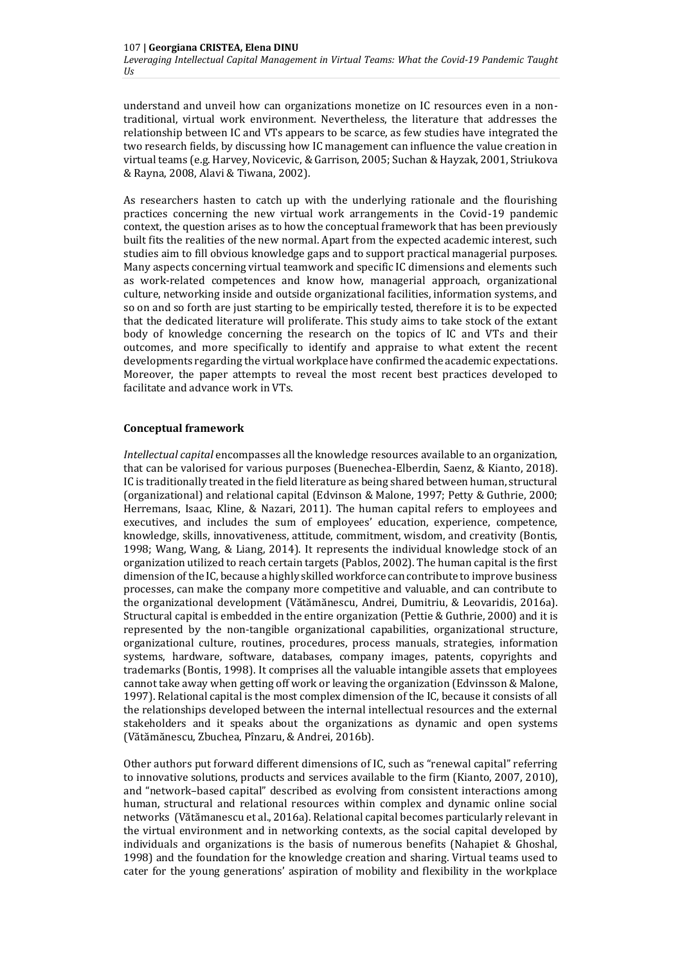understand and unveil how can organizations monetize on IC resources even in a nontraditional, virtual work environment. Nevertheless, the literature that addresses the relationship between IC and VTs appears to be scarce, as few studies have integrated the two research fields, by discussing how IC management can influence the value creation in virtual teams (e.g. Harvey, Novicevic, & Garrison, 2005; Suchan & Hayzak, 2001, Striukova & Rayna, 2008, Alavi & Tiwana, 2002).

As researchers hasten to catch up with the underlying rationale and the flourishing practices concerning the new virtual work arrangements in the Covid-19 pandemic context, the question arises as to how the conceptual framework that has been previously built fits the realities of the new normal. Apart from the expected academic interest, such studies aim to fill obvious knowledge gaps and to support practical managerial purposes. Many aspects concerning virtual teamwork and specific IC dimensions and elements such as work-related competences and know how, managerial approach, organizational culture, networking inside and outside organizational facilities, information systems, and so on and so forth are just starting to be empirically tested, therefore it is to be expected that the dedicated literature will proliferate. This study aims to take stock of the extant body of knowledge concerning the research on the topics of IC and VTs and their outcomes, and more specifically to identify and appraise to what extent the recent developments regarding the virtual workplace have confirmed the academic expectations. Moreover, the paper attempts to reveal the most recent best practices developed to facilitate and advance work in VTs.

#### **Conceptual framework**

*Intellectual capital* encompasses all the knowledge resources available to an organization, that can be valorised for various purposes (Buenechea-Elberdin, Saenz, & Kianto, 2018). IC is traditionally treated in the field literature as being shared between human, structural (organizational) and relational capital (Edvinson & Malone, 1997; Petty & Guthrie, 2000; Herremans, Isaac, Kline, & Nazari, 2011). The human capital refers to employees and executives, and includes the sum of employees' education, experience, competence, knowledge, skills, innovativeness, attitude, commitment, wisdom, and creativity (Bontis, 1998; Wang, Wang, & Liang, 2014). It represents the individual knowledge stock of an organization utilized to reach certain targets (Pablos, 2002). The human capital is the first dimension of the IC, because a highly skilled workforce can contribute to improve business processes, can make the company more competitive and valuable, and can contribute to the organizational development (Vătămănescu, Andrei, Dumitriu, & Leovaridis, 2016a). Structural capital is embedded in the entire organization (Pettie & Guthrie, 2000) and it is represented by the non-tangible organizational capabilities, organizational structure, organizational culture, routines, procedures, process manuals, strategies, information systems, hardware, software, databases, company images, patents, copyrights and trademarks (Bontis, 1998). It comprises all the valuable intangible assets that employees cannot take away when getting off work or leaving the organization (Edvinsson & Malone, 1997). Relational capital is the most complex dimension of the IC, because it consists of all the relationships developed between the internal intellectual resources and the external stakeholders and it speaks about the organizations as dynamic and open systems (Vătămănescu, Zbuchea, Pînzaru, & Andrei, 2016b).

Other authors put forward different dimensions of IC, such as "renewal capital" referring to innovative solutions, products and services available to the firm (Kianto, 2007, 2010), and "network–based capital" described as evolving from consistent interactions among human, structural and relational resources within complex and dynamic online social networks (Vătămanescu et al., 2016a). Relational capital becomes particularly relevant in the virtual environment and in networking contexts, as the social capital developed by individuals and organizations is the basis of numerous benefits (Nahapiet & Ghoshal, 1998) and the foundation for the knowledge creation and sharing. Virtual teams used to cater for the young generations' aspiration of mobility and flexibility in the workplace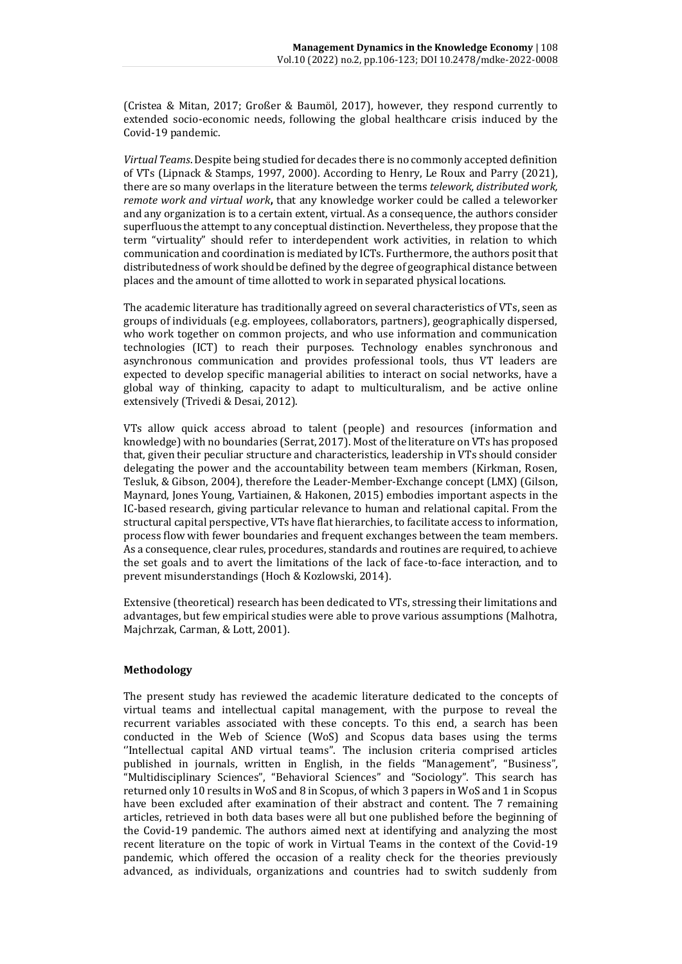(Cristea & Mitan, 2017; Großer & Baumöl, 2017), however, they respond currently to extended socio-economic needs, following the global healthcare crisis induced by the Covid-19 pandemic.

*Virtual Teams*. Despite being studied for decades there is no commonly accepted definition of VTs (Lipnack & Stamps, 1997, 2000). According to Henry, Le Roux and Parry (2021), there are so many overlaps in the literature between the terms *telework, distributed work, remote work and virtual work***,** that any knowledge worker could be called a teleworker and any organization is to a certain extent, virtual. As a consequence, the authors consider superfluous the attempt to any conceptual distinction. Nevertheless, they propose that the term "virtuality" should refer to interdependent work activities, in relation to which communication and coordination is mediated by ICTs. Furthermore, the authors posit that distributedness of work should be defined by the degree of geographical distance between places and the amount of time allotted to work in separated physical locations.

The academic literature has traditionally agreed on several characteristics of VTs, seen as groups of individuals (e.g. employees, collaborators, partners), geographically dispersed, who work together on common projects, and who use information and communication technologies (ICT) to reach their purposes. Technology enables synchronous and asynchronous communication and provides professional tools, thus VT leaders are expected to develop specific managerial abilities to interact on social networks, have a global way of thinking, capacity to adapt to multiculturalism, and be active online extensively (Trivedi & Desai, 2012).

VTs allow quick access abroad to talent (people) and resources (information and knowledge) with no boundaries (Serrat, 2017). Most of the literature on VTs has proposed that, given their peculiar structure and characteristics, leadership in VTs should consider delegating the power and the accountability between team members (Kirkman, Rosen, Tesluk, & Gibson, 2004), therefore the Leader-Member-Exchange concept (LMX) (Gilson, Maynard, Jones Young, Vartiainen, & Hakonen, 2015) embodies important aspects in the IC-based research, giving particular relevance to human and relational capital. From the structural capital perspective, VTs have flat hierarchies, to facilitate access to information, process flow with fewer boundaries and frequent exchanges between the team members. As a consequence, clear rules, procedures, standards and routines are required, to achieve the set goals and to avert the limitations of the lack of face-to-face interaction, and to prevent misunderstandings (Hoch & Kozlowski, 2014).

Extensive (theoretical) research has been dedicated to VTs, stressing their limitations and advantages, but few empirical studies were able to prove various assumptions (Malhotra, Majchrzak, Carman, & Lott, 2001).

# **Methodology**

The present study has reviewed the academic literature dedicated to the concepts of virtual teams and intellectual capital management, with the purpose to reveal the recurrent variables associated with these concepts. To this end, a search has been conducted in the Web of Science (WoS) and Scopus data bases using the terms ''Intellectual capital AND virtual teams". The inclusion criteria comprised articles published in journals, written in English, in the fields "Management", "Business", "Multidisciplinary Sciences", "Behavioral Sciences" and "Sociology". This search has returned only 10 results in WoS and 8 in Scopus, of which 3 papers in WoS and 1 in Scopus have been excluded after examination of their abstract and content. The 7 remaining articles, retrieved in both data bases were all but one published before the beginning of the Covid-19 pandemic. The authors aimed next at identifying and analyzing the most recent literature on the topic of work in Virtual Teams in the context of the Covid-19 pandemic, which offered the occasion of a reality check for the theories previously advanced, as individuals, organizations and countries had to switch suddenly from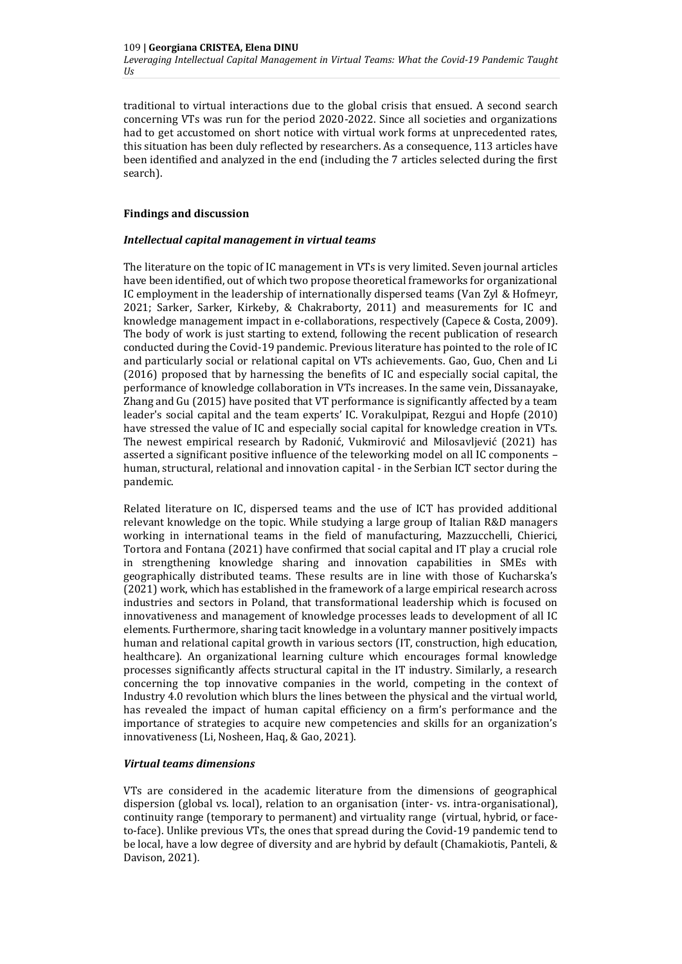traditional to virtual interactions due to the global crisis that ensued. A second search concerning VTs was run for the period 2020-2022. Since all societies and organizations had to get accustomed on short notice with virtual work forms at unprecedented rates, this situation has been duly reflected by researchers. As a consequence, 113 articles have been identified and analyzed in the end (including the 7 articles selected during the first search).

# **Findings and discussion**

# *Intellectual capital management in virtual teams*

The literature on the topic of IC management in VTs is very limited. Seven journal articles have been identified, out of which two propose theoretical frameworks for organizational IC employment in the leadership of internationally dispersed teams (Van Zyl & Hofmeyr, 2021; Sarker, Sarker, Kirkeby, & Chakraborty, 2011) and measurements for IC and knowledge management impact in e-collaborations, respectively (Capece & Costa, 2009). The body of work is just starting to extend, following the recent publication of research conducted during the Covid-19 pandemic. Previous literature has pointed to the role of IC and particularly social or relational capital on VTs achievements. Gao, Guo, Chen and Li (2016) proposed that by harnessing the benefits of IC and especially social capital, the performance of knowledge collaboration in VTs increases. In the same vein, Dissanayake, Zhang and Gu (2015) have posited that VT performance is significantly affected by a team leader's social capital and the team experts' IC. Vorakulpipat, Rezgui and Hopfe (2010) have stressed the value of IC and especially social capital for knowledge creation in VTs. The newest empirical research by Radonić, Vukmirović and Milosavljević (2021) has asserted a significant positive influence of the teleworking model on all IC components – human, structural, relational and innovation capital - in the Serbian ICT sector during the pandemic.

Related literature on IC, dispersed teams and the use of ICT has provided additional relevant knowledge on the topic. While studying a large group of Italian R&D managers working in international teams in the field of manufacturing, Mazzucchelli, Chierici, Tortora and Fontana (2021) have confirmed that social capital and IT play a crucial role in strengthening knowledge sharing and innovation capabilities in SMEs with geographically distributed teams. These results are in line with those of Kucharska's (2021) work, which has established in the framework of a large empirical research across industries and sectors in Poland, that transformational leadership which is focused on innovativeness and management of knowledge processes leads to development of all IC elements. Furthermore, sharing tacit knowledge in a voluntary manner positively impacts human and relational capital growth in various sectors (IT, construction, high education, healthcare). An organizational learning culture which encourages formal knowledge processes significantly affects structural capital in the IT industry. Similarly, a research concerning the top innovative companies in the world, competing in the context of Industry 4.0 revolution which blurs the lines between the physical and the virtual world, has revealed the impact of human capital efficiency on a firm's performance and the importance of strategies to acquire new competencies and skills for an organization's innovativeness (Li, Nosheen, Haq, & Gao, 2021).

# *Virtual teams dimensions*

VTs are considered in the academic literature from the dimensions of geographical dispersion (global vs. local), relation to an organisation (inter- vs. intra-organisational), continuity range (temporary to permanent) and virtuality range(virtual, hybrid, or faceto-face). Unlike previous VTs, the ones that spread during the Covid-19 pandemic tend to be local, have a low degree of diversity and are hybrid by default (Chamakiotis, Panteli, & Davison, 2021)*.*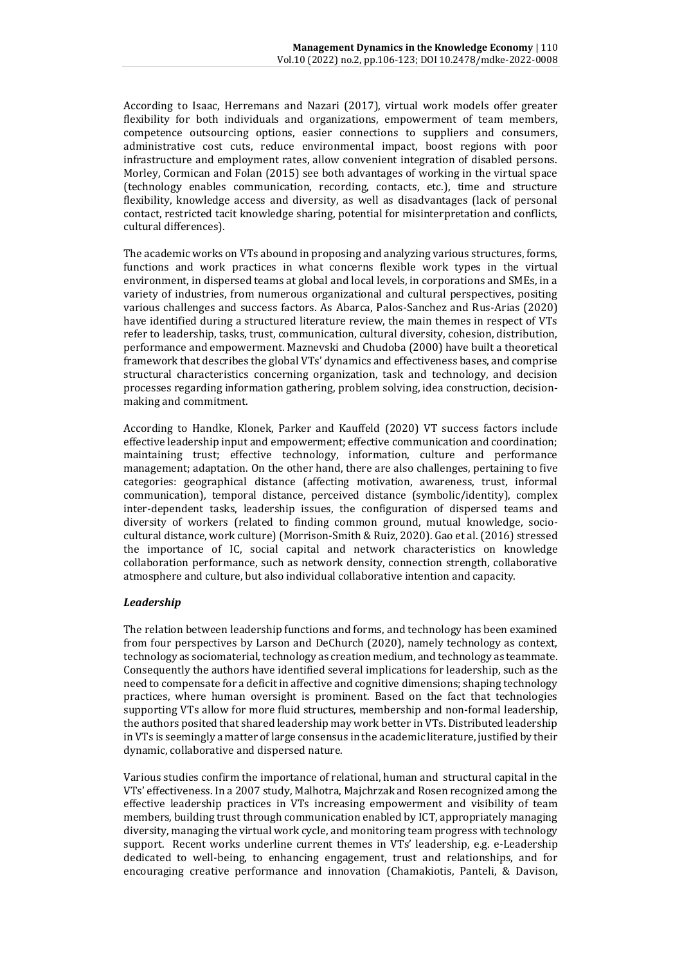According to Isaac, Herremans and Nazari (2017), virtual work models offer greater flexibility for both individuals and organizations, empowerment of team members, competence outsourcing options, easier connections to suppliers and consumers, administrative cost cuts, reduce environmental impact, boost regions with poor infrastructure and employment rates, allow convenient integration of disabled persons. Morley, Cormican and Folan (2015) see both advantages of working in the virtual space (technology enables communication, recording, contacts, etc.), time and structure flexibility, knowledge access and diversity, as well as disadvantages (lack of personal contact, restricted tacit knowledge sharing, potential for misinterpretation and conflicts, cultural differences).

The academic works on VTs abound in proposing and analyzing various structures, forms, functions and work practices in what concerns flexible work types in the virtual environment, in dispersed teams at global and local levels, in corporations and SMEs, in a variety of industries, from numerous organizational and cultural perspectives, positing various challenges and success factors. As Abarca, Palos-Sanchez and Rus-Arias (2020) have identified during a structured literature review, the main themes in respect of VTs refer to leadership, tasks, trust, communication, cultural diversity, cohesion, distribution, performance and empowerment. Maznevski and Chudoba (2000) have built a theoretical framework that describes the global VTs' dynamics and effectiveness bases, and comprise structural characteristics concerning organization, task and technology, and decision processes regarding information gathering, problem solving, idea construction, decisionmaking and commitment.

According to Handke, Klonek, Parker and Kauffeld (2020) VT success factors include effective leadership input and empowerment; effective communication and coordination; maintaining trust; effective technology, information, culture and performance management; adaptation. On the other hand, there are also challenges, pertaining to five categories: geographical distance (affecting motivation, awareness, trust, informal communication), temporal distance, perceived distance (symbolic/identity), complex inter-dependent tasks, leadership issues, the configuration of dispersed teams and diversity of workers (related to finding common ground, mutual knowledge, sociocultural distance, work culture) (Morrison-Smith & Ruiz, 2020). Gao et al. (2016) stressed the importance of IC, social capital and network characteristics on knowledge collaboration performance, such as network density, connection strength, collaborative atmosphere and culture, but also individual collaborative intention and capacity.

# *Leadership*

The relation between leadership functions and forms, and technology has been examined from four perspectives by Larson and DeChurch (2020), namely technology as context, technology as sociomaterial, technology as creation medium, and technology as teammate. Consequently the authors have identified several implications for leadership, such as the need to compensate for a deficit in affective and cognitive dimensions; shaping technology practices, where human oversight is prominent. Based on the fact that technologies supporting VTs allow for more fluid structures, membership and non-formal leadership, the authors posited that shared leadership may work better in VTs. Distributed leadership in VTs is seemingly a matter of large consensus in the academic literature, justified by their dynamic, collaborative and dispersed nature.

Various studies confirm the importance of relational, human and structural capital in the VTs' effectiveness. In a 2007 study, Malhotra, Majchrzak and Rosen recognized among the effective leadership practices in VTs increasing empowerment and visibility of team members, building trust through communication enabled by ICT, appropriately managing diversity, managing the virtual work cycle, and monitoring team progress with technology support. Recent works underline current themes in VTs' leadership, e.g. e-Leadership dedicated to well-being, to enhancing engagement, trust and relationships, and for encouraging creative performance and innovation (Chamakiotis, Panteli, & Davison,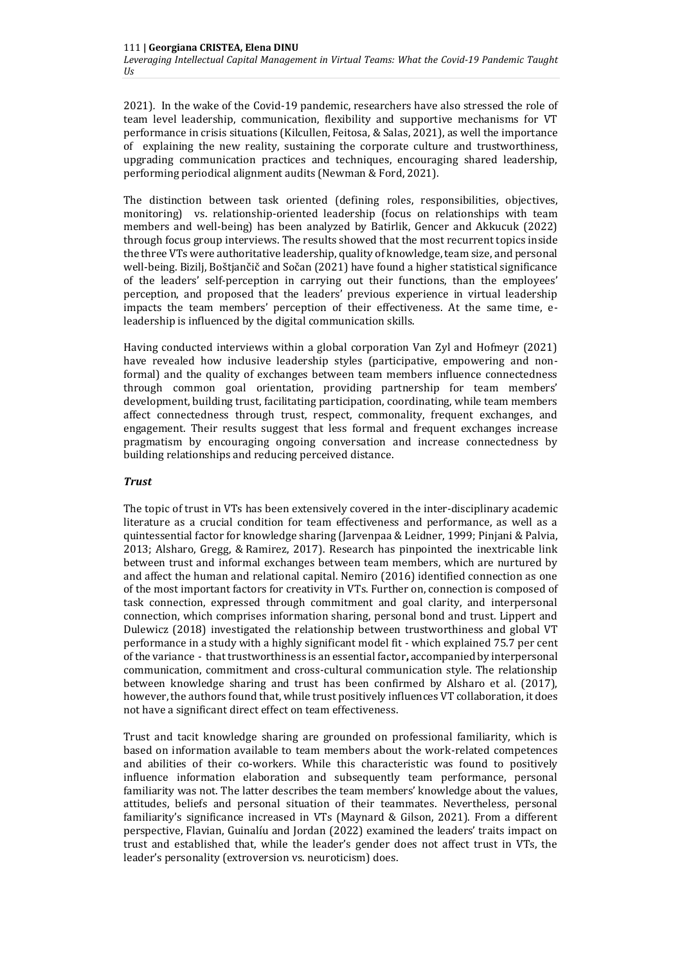2021)*.* In the wake of the Covid-19 pandemic, researchers have also stressed the role of team level leadership, communication, flexibility and supportive mechanisms for VT performance in crisis situations (Kilcullen, Feitosa, & Salas, 2021), as well the importance of explaining the new reality, sustaining the corporate culture and trustworthiness, upgrading communication practices and techniques, encouraging shared leadership, performing periodical alignment audits (Newman & Ford, 2021).

The distinction between task oriented (defining roles, responsibilities, objectives, monitoring) vs. relationship-oriented leadership (focus on relationships with team members and well-being) has been analyzed by Batirlik, Gencer and Akkucuk (2022) through focus group interviews. The results showed that the most recurrent topics inside the three VTs were authoritative leadership, quality of knowledge, team size, and personal well-being. Bizilj, Boštjančič and Sočan (2021) have found a higher statistical significance of the leaders' self-perception in carrying out their functions, than the employees' perception, and proposed that the leaders' previous experience in virtual leadership impacts the team members' perception of their effectiveness. At the same time, eleadership is influenced by the digital communication skills.

Having conducted interviews within a global corporation Van Zyl and Hofmeyr (2021) have revealed how inclusive leadership styles (participative, empowering and nonformal) and the quality of exchanges between team members influence connectedness through common goal orientation, providing partnership for team members' development, building trust, facilitating participation, coordinating, while team members affect connectedness through trust, respect, commonality, frequent exchanges, and engagement. Their results suggest that less formal and frequent exchanges increase pragmatism by encouraging ongoing conversation and increase connectedness by building relationships and reducing perceived distance.

#### *Trust*

The topic of trust in VTs has been extensively covered in the inter-disciplinary academic literature as a crucial condition for team effectiveness and performance, as well as a quintessential factor for knowledge sharing (Jarvenpaa & Leidner, 1999; Pinjani & Palvia, 2013; Alsharo, Gregg, & Ramirez, 2017). Research has pinpointed the inextricable link between trust and informal exchanges between team members, which are nurtured by and affect the human and relational capital. Nemiro (2016) identified connection as one of the most important factors for creativity in VTs. Further on, connection is composed of task connection, expressed through commitment and goal clarity, and interpersonal connection, which comprises information sharing, personal bond and trust. Lippert and Dulewicz (2018) investigated the relationship between trustworthiness and global VT performance in a study with a highly significant model fit - which explained 75.7 per cent of the variance - that trustworthiness is an essential factor**,** accompanied by interpersonal communication, commitment and cross-cultural communication style. The relationship between knowledge sharing and trust has been confirmed by Alsharo et al. (2017), however, the authors found that, while trust positively influences VT collaboration, it does not have a significant direct effect on team effectiveness.

Trust and tacit knowledge sharing are grounded on professional familiarity, which is based on information available to team members about the work-related competences and abilities of their co-workers. While this characteristic was found to positively influence information elaboration and subsequently team performance, personal familiarity was not. The latter describes the team members' knowledge about the values, attitudes, beliefs and personal situation of their teammates. Nevertheless, personal familiarity's significance increased in VTs (Maynard & Gilson, 2021). From a different perspective, Flavian, Guinalíu and Jordan (2022) examined the leaders' traits impact on trust and established that, while the leader's gender does not affect trust in VTs, the leader's personality (extroversion vs. neuroticism) does.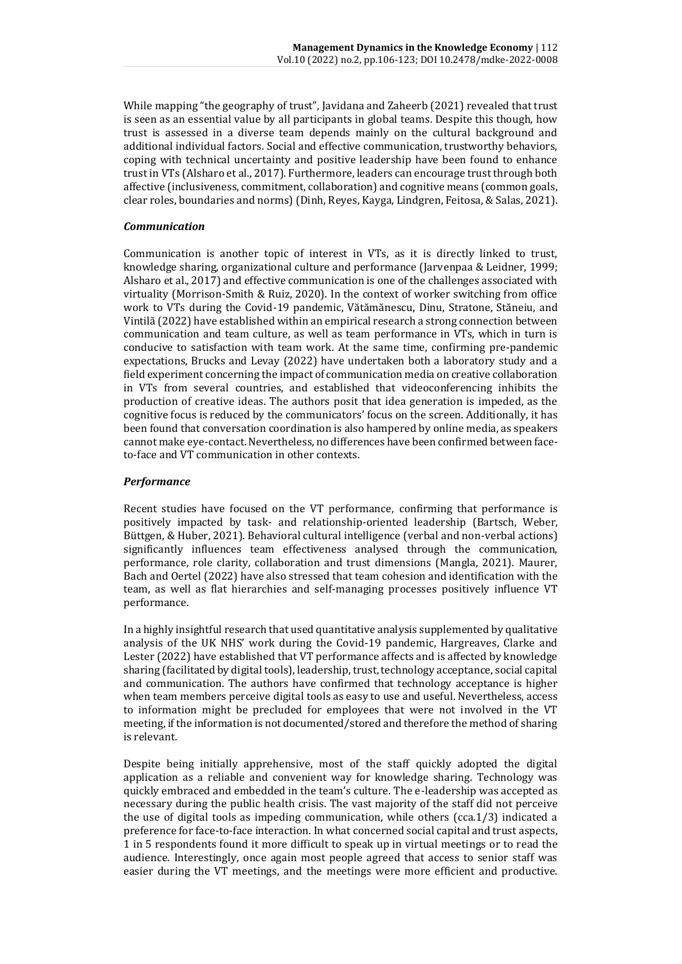While mapping "the geography of trust", Javidana and Zaheerb (2021) revealed that trust is seen as an essential value by all participants in global teams. Despite this though, how trust is assessed in a diverse team depends mainly on the cultural background and additional individual factors. Social and effective communication, trustworthy behaviors, coping with technical uncertainty and positive leadership have been found to enhance trust in VTs (Alsharo et al., 2017). Furthermore, leaders can encourage trust through both affective (inclusiveness, commitment, collaboration) and cognitive means (common goals, clear roles, boundaries and norms) (Dinh, Reyes, Kayga, Lindgren, Feitosa, & Salas, 2021).

# *Communication*

Communication is another topic of interest in VTs, as it is directly linked to trust, knowledge sharing, organizational culture and performance (Jarvenpaa & Leidner, 1999; Alsharo et al., 2017) and effective communication is one of the challenges associated with virtuality (Morrison-Smith & Ruiz, 2020). In the context of worker switching from office work to VTs during the Covid-19 pandemic, Vătămănescu, Dinu, Stratone, Stăneiu, and Vintilă (2022) have established within an empirical research a strong connection between communication and team culture, as well as team performance in VTs, which in turn is conducive to satisfaction with team work. At the same time, confirming pre-pandemic expectations, Brucks and Levay (2022) have undertaken both a laboratory study and a field experiment concerning the impact of communication media on creative collaboration in VTs from several countries, and established that videoconferencing inhibits the production of creative ideas. The authors posit that idea generation is impeded, as the cognitive focus is reduced by the communicators' focus on the screen. Additionally, it has been found that conversation coordination is also hampered by online media, as speakers cannot make eye-contact. Nevertheless, no differences have been confirmed between faceto-face and VT communication in other contexts.

#### *Performance*

Recent studies have focused on the VT performance, confirming that performance is positively impacted by task- and relationship-oriented leadership [\(Bartsch,](https://www.emerald.com/insight/search?q=Silke%20Bartsch) [Weber,](https://www.emerald.com/insight/search?q=Ellen%20Weber)  [Büttgen, &](https://www.emerald.com/insight/search?q=Marion%20B%C3%BCttgen) [Huber,](https://www.emerald.com/insight/search?q=Ariana%20Huber) 2021). Behavioral cultural intelligence (verbal and non-verbal actions) significantly influences team effectiveness analysed through the communication, performance, role clarity, collaboration and trust dimensions (Mangla, 2021). Maurer, Bach and Oertel (2022) have also stressed that team cohesion and identification with the team, as well as flat hierarchies and self-managing processes positively influence VT performance.

In a highly insightful research that used quantitative analysis supplemented by qualitative analysis of the UK NHS' work during the Covid-19 pandemic, Hargreaves, Clarke and Lester (2022) have established that VT performance affects and is affected by knowledge sharing (facilitated by digital tools), leadership, trust, technology acceptance, social capital and communication. The authors have confirmed that technology acceptance is higher when team members perceive digital tools as easy to use and useful. Nevertheless, access to information might be precluded for employees that were not involved in the VT meeting, if the information is not documented/stored and therefore the method of sharing is relevant.

Despite being initially apprehensive, most of the staff quickly adopted the digital application as a reliable and convenient way for knowledge sharing. Technology was quickly embraced and embedded in the team's culture. The e-leadership was accepted as necessary during the public health crisis. The vast majority of the staff did not perceive the use of digital tools as impeding communication, while others (cca.1/3) indicated a preference for face-to-face interaction. In what concerned social capital and trust aspects, 1 in 5 respondents found it more difficult to speak up in virtual meetings or to read the audience. Interestingly, once again most people agreed that access to senior staff was easier during the VT meetings, and the meetings were more efficient and productive.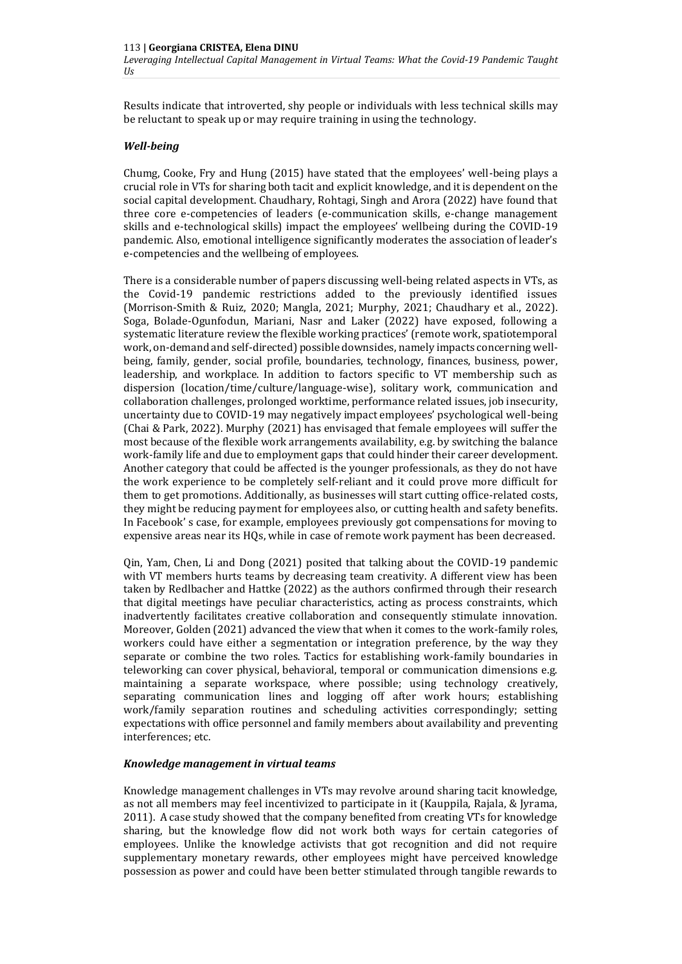Results indicate that introverted, shy people or individuals with less technical skills may be reluctant to speak up or may require training in using the technology.

# *Well-being*

Chumg, Cooke, Fry and Hung (2015) have stated that the employees' well-being plays a crucial role in VTs for sharing both tacit and explicit knowledge, and it is dependent on the social capital development. Chaudhary, Rohtagi, Singh and Arora (2022) have found that three core e-competencies of leaders (e-communication skills, e-change management skills and e-technological skills) impact the employees' wellbeing during the COVID-19 pandemic. Also, emotional intelligence significantly moderates the association of leader's e-competencies and the wellbeing of employees.

There is a considerable number of papers discussing well-being related aspects in VTs, as the Covid-19 pandemic restrictions added to the previously identified issues (Morrison‑Smith & Ruiz, 2020; Mangla, 2021; Murphy, 2021; Chaudhary et al., 2022). Soga, Bolade-Ogunfodun, Mariani, Nasr and Laker (2022) have exposed, following a systematic literature review the flexible working practices' (remote work, spatiotemporal work, on-demand and self-directed) possible downsides, namely impacts concerning wellbeing, family, gender, social profile, boundaries, technology, finances, business, power, leadership, and workplace. In addition to factors specific to VT membership such as dispersion (location/time/culture/language-wise), solitary work, communication and collaboration challenges, prolonged worktime, performance related issues, job insecurity, uncertainty due to COVID-19 may negatively impact employees' psychological well-being (Chai & Park, 2022). Murphy (2021) has envisaged that female employees will suffer the most because of the flexible work arrangements availability, e.g. by switching the balance work-family life and due to employment gaps that could hinder their career development. Another category that could be affected is the younger professionals, as they do not have the work experience to be completely self-reliant and it could prove more difficult for them to get promotions. Additionally, as businesses will start cutting office-related costs, they might be reducing payment for employees also, or cutting health and safety benefits. In Facebook' s case, for example, employees previously got compensations for moving to expensive areas near its HQs, while in case of remote work payment has been decreased.

Qin, Yam, Chen, Li and Dong (2021) posited that talking about the COVID-19 pandemic with VT members hurts teams by decreasing team creativity. A different view has been taken by Redlbacher and Hattke (2022) as the authors confirmed through their research that digital meetings have peculiar characteristics, acting as process constraints, which inadvertently facilitates creative collaboration and consequently stimulate innovation. Moreover, Golden (2021) advanced the view that when it comes to the work-family roles, workers could have either a segmentation or integration preference, by the way they separate or combine the two roles. Tactics for establishing work-family boundaries in teleworking can cover physical, behavioral, temporal or communication dimensions e.g. maintaining a separate workspace, where possible; using technology creatively, separating communication lines and logging off after work hours; establishing work/family separation routines and scheduling activities correspondingly; setting expectations with office personnel and family members about availability and preventing interferences; etc.

#### *Knowledge management in virtual teams*

Knowledge management challenges in VTs may revolve around sharing tacit knowledge, as not all members may feel incentivized to participate in it (Kauppila, Rajala, & Jyrama, 2011). A case study showed that the company benefited from creating VTs for knowledge sharing, but the knowledge flow did not work both ways for certain categories of employees. Unlike the knowledge activists that got recognition and did not require supplementary monetary rewards, other employees might have perceived knowledge possession as power and could have been better stimulated through tangible rewards to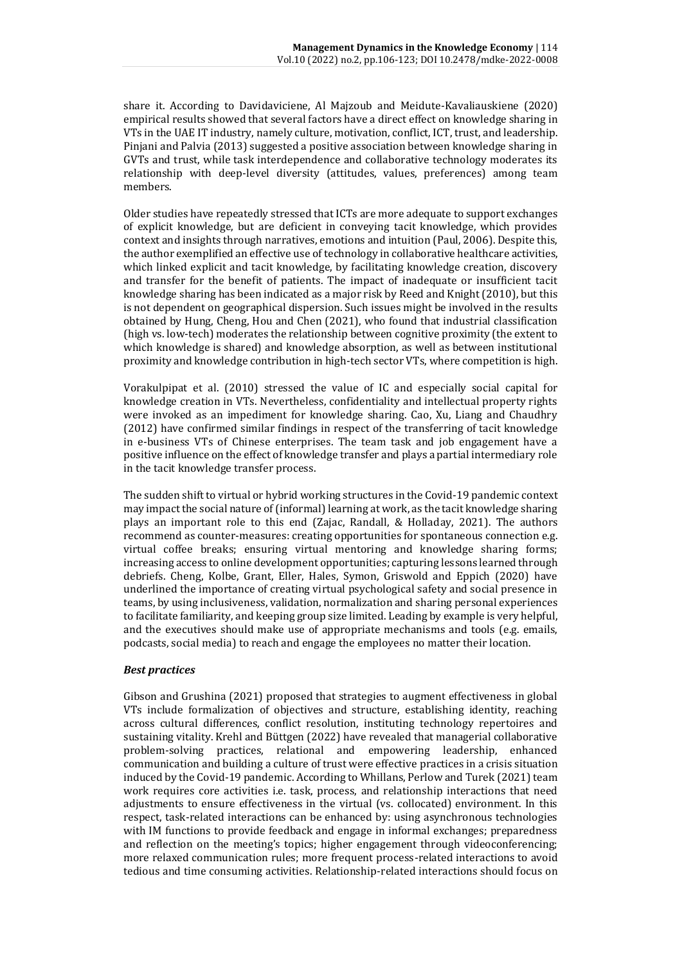share it. According to Davidaviciene, Al Majzoub and Meidute-Kavaliauskiene (2020) empirical results showed that several factors have a direct effect on knowledge sharing in VTs in the UAE IT industry, namely culture, motivation, conflict, ICT, trust, and leadership. Pinjani and Palvia (2013) suggested a positive association between knowledge sharing in GVTs and trust, while task interdependence and collaborative technology moderates its relationship with deep-level diversity (attitudes, values, preferences) among team members.

Older studies have repeatedly stressed that ICTs are more adequate to support exchanges of explicit knowledge, but are deficient in conveying tacit knowledge, which provides context and insights through narratives, emotions and intuition (Paul, 2006). Despite this, the author exemplified an effective use of technology in collaborative healthcare activities, which linked explicit and tacit knowledge, by facilitating knowledge creation, discovery and transfer for the benefit of patients. The impact of inadequate or insufficient tacit knowledge sharing has been indicated as a major risk by Reed and Knight (2010), but this is not dependent on geographical dispersion. Such issues might be involved in the results obtained by Hung, Cheng, Hou and Chen (2021), who found that industrial classification (high vs. low-tech) moderates the relationship between cognitive proximity (the extent to which knowledge is shared) and knowledge absorption, as well as between institutional proximity and knowledge contribution in high-tech sector VTs, where competition is high.

Vorakulpipat et al. (2010) stressed the value of IC and especially social capital for knowledge creation in VTs. Nevertheless, confidentiality and intellectual property rights were invoked as an impediment for knowledge sharing. Cao, Xu, Liang and Chaudhry (2012) have confirmed similar findings in respect of the transferring of tacit knowledge in e-business VTs of Chinese enterprises. The team task and job engagement have a positive influence on the effect of knowledge transfer and plays a partial intermediary role in the tacit knowledge transfer process.

The sudden shift to virtual or hybrid working structures in the Covid-19 pandemic context may impact the social nature of (informal) learning at work, as the tacit knowledge sharing plays an important role to this end (Zajac, Randall, & Holladay, 2021). The authors recommend as counter-measures: creating opportunities for spontaneous connection e.g. virtual coffee breaks; ensuring virtual mentoring and knowledge sharing forms; increasing access to online development opportunities; capturing lessons learned through debriefs. Cheng, Kolbe, Grant, Eller, Hales, Symon, Griswold and Eppich (2020) have underlined the importance of creating virtual psychological safety and social presence in teams, by using inclusiveness, validation, normalization and sharing personal experiences to facilitate familiarity, and keeping group size limited. Leading by example is very helpful, and the executives should make use of appropriate mechanisms and tools (e.g. emails, podcasts, social media) to reach and engage the employees no matter their location.

# *Best practices*

Gibson and Grushina (2021) proposed that strategies to augment effectiveness in global VTs include formalization of objectives and structure, establishing identity, reaching across cultural differences, conflict resolution, instituting technology repertoires and sustaining vitality. Krehl and Büttgen (2022) have revealed that managerial collaborative problem-solving practices, relational and empowering leadership, enhanced communication and building a culture of trust were effective practices in a crisis situation induced by the Covid-19 pandemic. According to Whillans, Perlow and Turek (2021) team work requires core activities i.e. task, process, and relationship interactions that need adjustments to ensure effectiveness in the virtual (vs. collocated) environment. In this respect, task-related interactions can be enhanced by: using asynchronous technologies with IM functions to provide feedback and engage in informal exchanges; preparedness and reflection on the meeting's topics; higher engagement through videoconferencing; more relaxed communication rules; more frequent process-related interactions to avoid tedious and time consuming activities. Relationship-related interactions should focus on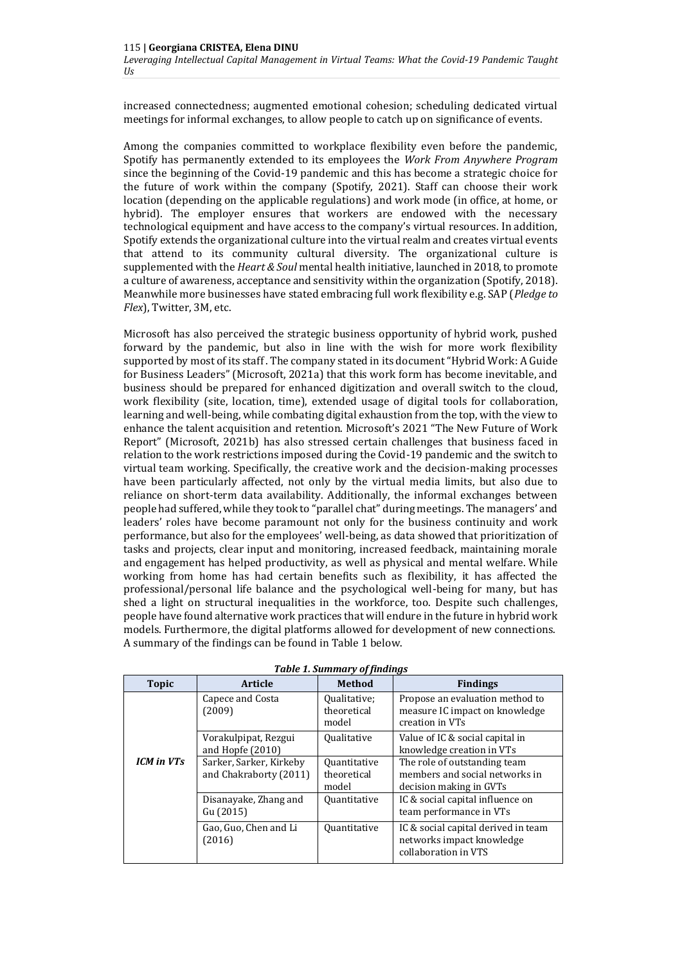increased connectedness; augmented emotional cohesion; scheduling dedicated virtual meetings for informal exchanges, to allow people to catch up on significance of events.

Among the companies committed to workplace flexibility even before the pandemic, Spotify has permanently extended to its employees the *Work From Anywhere Program*  since the beginning of the Covid-19 pandemic and this has become a strategic choice for the future of work within the company (Spotify, 2021). Staff can choose their work location (depending on the applicable regulations) and work mode (in office, at home, or hybrid). The employer ensures that workers are endowed with the necessary technological equipment and have access to the company's virtual resources. In addition, Spotify extends the organizational culture into the virtual realm and creates virtual events that attend to its community cultural diversity. The organizational culture is supplemented with the *Heart & Soul* mental health initiative, launched in 2018, to promote a culture of awareness, acceptance and sensitivity within the organization (Spotify, 2018). Meanwhile more businesses have stated embracing full work flexibility e.g. SAP (*Pledge to Flex*), Twitter, 3M, etc.

Microsoft has also perceived the strategic business opportunity of hybrid work, pushed forward by the pandemic, but also in line with the wish for more work flexibility supported by most of its staff . The company stated in its document "Hybrid Work: A Guide for Business Leaders" (Microsoft, 2021a) that this work form has become inevitable, and business should be prepared for enhanced digitization and overall switch to the cloud, work flexibility (site, location, time), extended usage of digital tools for collaboration, learning and well-being, while combating digital exhaustion from the top, with the view to enhance the talent acquisition and retention. Microsoft's 2021 "The New Future of Work Report" (Microsoft, 2021b) has also stressed certain challenges that business faced in relation to the work restrictions imposed during the Covid-19 pandemic and the switch to virtual team working. Specifically, the creative work and the decision-making processes have been particularly affected, not only by the virtual media limits, but also due to reliance on short-term data availability. Additionally, the informal exchanges between people had suffered, while they took to "parallel chat" during meetings. The managers' and leaders' roles have become paramount not only for the business continuity and work performance, but also for the employees' well-being, as data showed that prioritization of tasks and projects, clear input and monitoring, increased feedback, maintaining morale and engagement has helped productivity, as well as physical and mental welfare. While working from home has had certain benefits such as flexibility, it has affected the professional/personal life balance and the psychological well-being for many, but has shed a light on structural inequalities in the workforce, too. Despite such challenges, people have found alternative work practices that will endure in the future in hybrid work models. Furthermore, the digital platforms allowed for development of new connections. A summary of the findings can be found in Table 1 below.

| <b>Topic</b>                  | <b>Article</b>                                    | <b>Method</b>                               | <b>Findings</b>                                                                           |
|-------------------------------|---------------------------------------------------|---------------------------------------------|-------------------------------------------------------------------------------------------|
|                               | Capece and Costa<br>(2009)                        | Qualitative;<br>theoretical<br>model        | Propose an evaluation method to<br>measure IC impact on knowledge<br>creation in VTs      |
|                               | Vorakulpipat, Rezgui<br>and Hopfe (2010)          | <b>Qualitative</b>                          | Value of IC & social capital in<br>knowledge creation in VTs                              |
| <b>ICM</b> in VT <sub>S</sub> | Sarker, Sarker, Kirkeby<br>and Chakraborty (2011) | <b>Quantitative</b><br>theoretical<br>model | The role of outstanding team<br>members and social networks in<br>decision making in GVTs |
|                               | Disanayake, Zhang and<br>Gu (2015)                | <b>Quantitative</b>                         | IC & social capital influence on<br>team performance in VTs                               |
|                               | Gao, Guo, Chen and Li<br>(2016)                   | <b>Quantitative</b>                         | IC & social capital derived in team<br>networks impact knowledge<br>collaboration in VTS  |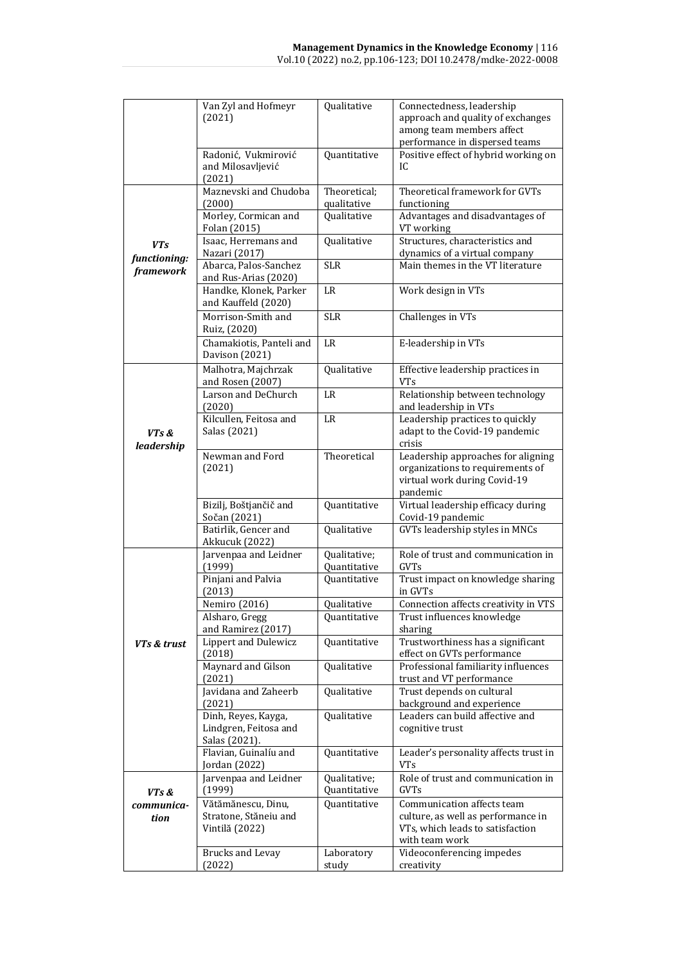|                            | Van Zyl and Hofmeyr<br>(2021)                                 | Qualitative                  | Connectedness, leadership<br>approach and quality of exchanges<br>among team members affect                            |
|----------------------------|---------------------------------------------------------------|------------------------------|------------------------------------------------------------------------------------------------------------------------|
|                            | Radonić, Vukmirović<br>and Milosavljević<br>(2021)            | Quantitative                 | performance in dispersed teams<br>Positive effect of hybrid working on<br>IC                                           |
|                            | Maznevski and Chudoba<br>(2000)                               | Theoretical;<br>qualitative  | Theoretical framework for GVTs<br>functioning                                                                          |
|                            | Morley, Cormican and<br>Folan (2015)                          | Qualitative                  | Advantages and disadvantages of<br>VT working                                                                          |
| <b>VTs</b><br>functioning: | Isaac, Herremans and<br>Nazari (2017)                         | Qualitative                  | Structures, characteristics and<br>dynamics of a virtual company                                                       |
| framework                  | Abarca, Palos-Sanchez<br>and Rus-Arias (2020)                 | <b>SLR</b>                   | Main themes in the VT literature                                                                                       |
|                            | Handke, Klonek, Parker<br>and Kauffeld (2020)                 | LR                           | Work design in VTs                                                                                                     |
|                            | Morrison-Smith and<br>Ruiz, (2020)                            | SLR                          | Challenges in VTs                                                                                                      |
|                            | Chamakiotis, Panteli and<br>Davison (2021)                    | <b>LR</b>                    | E-leadership in VTs                                                                                                    |
|                            | Malhotra, Majchrzak<br>and Rosen (2007)                       | Qualitative                  | Effective leadership practices in<br><b>VTs</b>                                                                        |
|                            | Larson and DeChurch<br>(2020)                                 | <b>LR</b>                    | Relationship between technology<br>and leadership in VTs                                                               |
| VTs &                      | Kilcullen, Feitosa and<br>Salas (2021)                        | LR                           | Leadership practices to quickly<br>adapt to the Covid-19 pandemic<br>crisis                                            |
| leadership                 | Newman and Ford<br>(2021)                                     | Theoretical                  | Leadership approaches for aligning<br>organizations to requirements of<br>virtual work during Covid-19<br>pandemic     |
|                            | Bizilj, Boštjančič and<br>Sočan (2021)                        | Quantitative                 | Virtual leadership efficacy during<br>Covid-19 pandemic                                                                |
|                            | Batirlik, Gencer and<br>Akkucuk (2022)                        | Qualitative                  | GVTs leadership styles in MNCs                                                                                         |
|                            | Jarvenpaa and Leidner<br>(1999)                               | Qualitative;<br>Quantitative | Role of trust and communication in<br><b>GVTs</b>                                                                      |
|                            | Pinjani and Palvia<br>(2013)                                  | Quantitative                 | Trust impact on knowledge sharing<br>in GVTs                                                                           |
|                            | Nemiro (2016)                                                 | Qualitative                  | Connection affects creativity in VTS                                                                                   |
|                            | Alsharo, Gregg<br>and Ramirez (2017)                          | <b>Ouantitative</b>          | Trust influences knowledge<br>sharing                                                                                  |
| VTs & trust                | <b>Lippert and Dulewicz</b><br>(2018)                         | Quantitative                 | Trustworthiness has a significant<br>effect on GVTs performance                                                        |
|                            | Maynard and Gilson<br>(2021)                                  | Qualitative                  | Professional familiarity influences<br>trust and VT performance                                                        |
|                            | Javidana and Zaheerb<br>(2021)                                | Qualitative                  | Trust depends on cultural<br>background and experience                                                                 |
|                            | Dinh, Reyes, Kayga,<br>Lindgren, Feitosa and<br>Salas (2021). | Qualitative                  | Leaders can build affective and<br>cognitive trust                                                                     |
|                            | Flavian, Guinalíu and<br>Jordan (2022)                        | Quantitative                 | Leader's personality affects trust in<br>VTs                                                                           |
| VTs &                      | Jarvenpaa and Leidner<br>(1999)                               | Qualitative;<br>Quantitative | Role of trust and communication in<br>GVTs                                                                             |
| communica-<br>tion         | Vătămănescu, Dinu,<br>Stratone, Stăneiu and<br>Vintilă (2022) | Quantitative                 | Communication affects team<br>culture, as well as performance in<br>VTs, which leads to satisfaction<br>with team work |
|                            | <b>Brucks and Levay</b><br>(2022)                             | Laboratory<br>study          | Videoconferencing impedes<br>creativity                                                                                |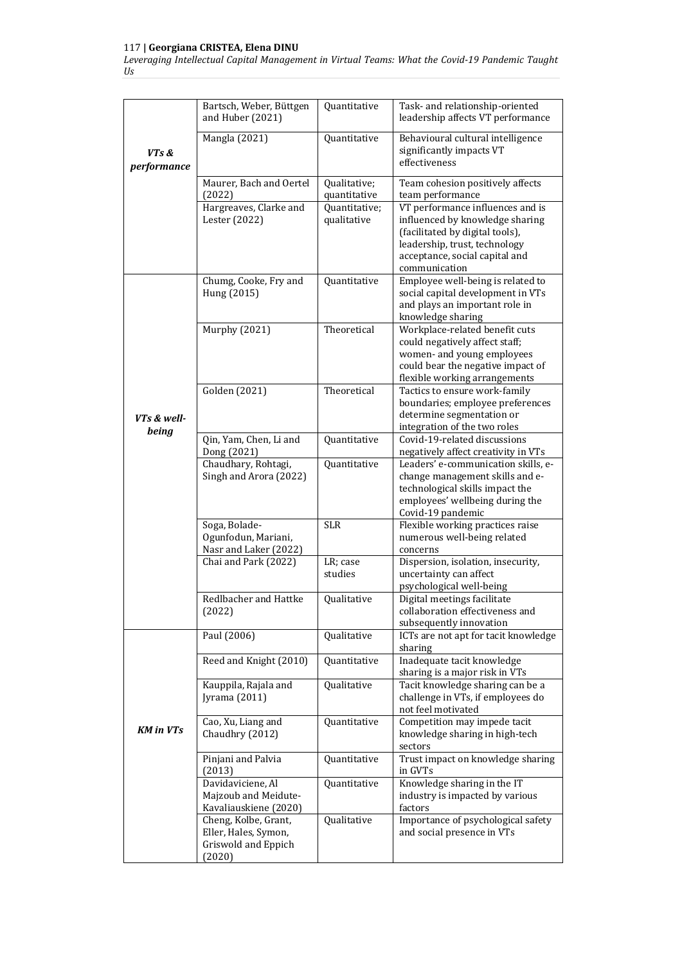# 117 **| Georgiana CRISTEA, Elena DINU**

*Leveraging Intellectual Capital Management in Virtual Teams: What the Covid-19 Pandemic Taught Us*

|                      | Bartsch, Weber, Büttgen<br>and Huber (2021) | Quantitative  | Task- and relationship-oriented<br>leadership affects VT performance           |
|----------------------|---------------------------------------------|---------------|--------------------------------------------------------------------------------|
| VTs &<br>performance | Mangla (2021)                               | Quantitative  | Behavioural cultural intelligence<br>significantly impacts VT<br>effectiveness |
|                      | Maurer, Bach and Oertel                     | Qualitative;  | Team cohesion positively affects                                               |
|                      | (2022)                                      | quantitative  | team performance                                                               |
|                      | Hargreaves, Clarke and                      | Quantitative; | VT performance influences and is                                               |
|                      | Lester (2022)                               | qualitative   | influenced by knowledge sharing                                                |
|                      |                                             |               | (facilitated by digital tools),                                                |
|                      |                                             |               | leadership, trust, technology                                                  |
|                      |                                             |               | acceptance, social capital and                                                 |
|                      |                                             |               | communication                                                                  |
|                      | Chumg, Cooke, Fry and                       | Quantitative  | Employee well-being is related to                                              |
|                      | Hung (2015)                                 |               | social capital development in VTs                                              |
|                      |                                             |               | and plays an important role in                                                 |
|                      |                                             |               | knowledge sharing                                                              |
|                      | Murphy (2021)                               | Theoretical   | Workplace-related benefit cuts                                                 |
|                      |                                             |               | could negatively affect staff;                                                 |
|                      |                                             |               | women- and young employees                                                     |
|                      |                                             |               | could bear the negative impact of                                              |
|                      |                                             | Theoretical   | flexible working arrangements                                                  |
|                      | Golden (2021)                               |               | Tactics to ensure work-family                                                  |
|                      |                                             |               | boundaries; employee preferences<br>determine segmentation or                  |
| VTs & well-          |                                             |               |                                                                                |
| being                |                                             |               | integration of the two roles<br>Covid-19-related discussions                   |
|                      | Qin, Yam, Chen, Li and<br>Dong (2021)       | Quantitative  | negatively affect creativity in VTs                                            |
|                      | Chaudhary, Rohtagi,                         | Quantitative  | Leaders' e-communication skills, e-                                            |
|                      | Singh and Arora (2022)                      |               | change management skills and e-                                                |
|                      |                                             |               | technological skills impact the                                                |
|                      |                                             |               | employees' wellbeing during the                                                |
|                      |                                             |               | Covid-19 pandemic                                                              |
|                      | Soga, Bolade-                               | <b>SLR</b>    | Flexible working practices raise                                               |
|                      | Ogunfodun, Mariani,                         |               | numerous well-being related                                                    |
|                      | Nasr and Laker (2022)                       |               | concerns                                                                       |
|                      | Chai and Park (2022)                        | LR; case      | Dispersion, isolation, insecurity,                                             |
|                      |                                             | studies       | uncertainty can affect                                                         |
|                      |                                             |               | psychological well-being                                                       |
|                      | Redlbacher and Hattke                       | Qualitative   | Digital meetings facilitate                                                    |
|                      | (2022)                                      |               | collaboration effectiveness and                                                |
|                      |                                             |               | subsequently innovation                                                        |
|                      | Paul (2006)                                 | Qualitative   | ICTs are not apt for tacit knowledge                                           |
|                      |                                             |               | sharing                                                                        |
|                      | Reed and Knight (2010)                      | Quantitative  | Inadequate tacit knowledge                                                     |
|                      |                                             |               | sharing is a major risk in VTs                                                 |
|                      | Kauppila, Rajala and                        | Qualitative   | Tacit knowledge sharing can be a                                               |
|                      | Jyrama (2011)                               |               | challenge in VTs, if employees do<br>not feel motivated                        |
|                      | Cao, Xu, Liang and                          |               |                                                                                |
| <b>KM</b> in VTs     | Chaudhry (2012)                             | Quantitative  | Competition may impede tacit<br>knowledge sharing in high-tech                 |
|                      |                                             |               | sectors                                                                        |
|                      | Pinjani and Palvia                          | Quantitative  | Trust impact on knowledge sharing                                              |
|                      | (2013)                                      |               | in GVTs                                                                        |
|                      | Davidaviciene, Al                           | Quantitative  | Knowledge sharing in the IT                                                    |
|                      | Majzoub and Meidute-                        |               | industry is impacted by various                                                |
|                      | Kavaliauskiene (2020)                       |               | factors                                                                        |
|                      | Cheng, Kolbe, Grant,                        | Qualitative   | Importance of psychological safety                                             |
|                      | Eller, Hales, Symon,                        |               | and social presence in VTs                                                     |
|                      | Griswold and Eppich                         |               |                                                                                |
|                      | (2020)                                      |               |                                                                                |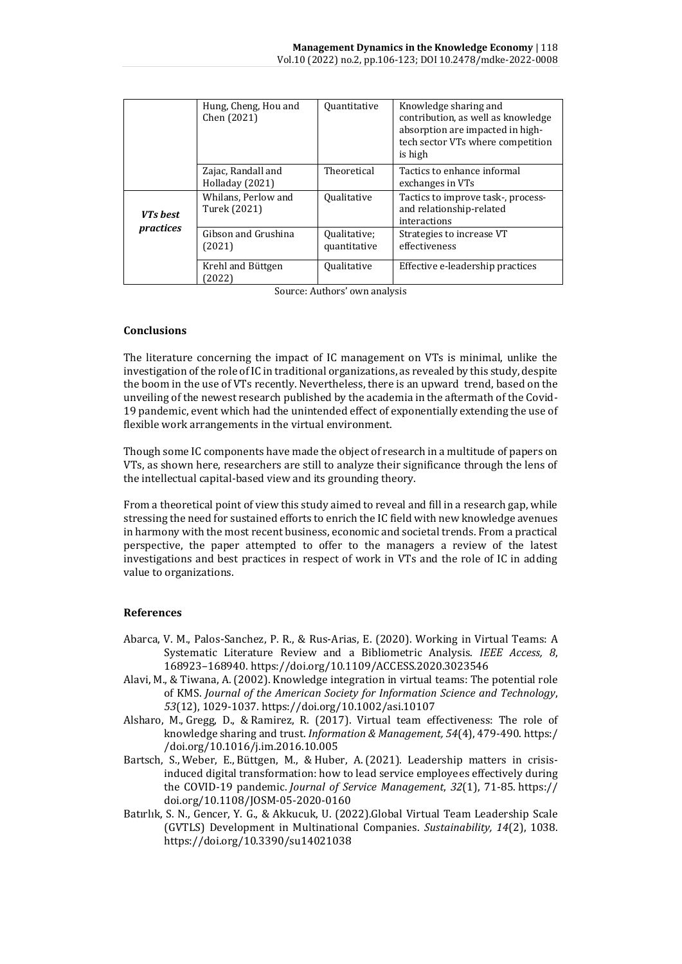|                       | Hung, Cheng, Hou and<br>Chen (2021)   | <b>Quantitative</b>          | Knowledge sharing and<br>contribution, as well as knowledge<br>absorption are impacted in high-<br>tech sector VTs where competition<br>is high |
|-----------------------|---------------------------------------|------------------------------|-------------------------------------------------------------------------------------------------------------------------------------------------|
|                       | Zajac, Randall and<br>Holladay (2021) | Theoretical                  | Tactics to enhance informal<br>exchanges in VTs                                                                                                 |
| VTs best<br>practices | Whilans, Perlow and<br>Turek (2021)   | <b>Qualitative</b>           | Tactics to improve task-, process-<br>and relationship-related<br>interactions                                                                  |
|                       | Gibson and Grushina<br>(2021)         | Qualitative;<br>quantitative | Strategies to increase VT<br>effectiveness                                                                                                      |
|                       | Krehl and Büttgen<br>2022)            | Qualitative                  | Effective e-leadership practices                                                                                                                |

Source: Authors' own analysis

# **Conclusions**

The literature concerning the impact of IC management on VTs is minimal, unlike the investigation of the role of IC in traditional organizations, as revealed by this study, despite the boom in the use of VTs recently. Nevertheless, there is an upward trend, based on the unveiling of the newest research published by the academia in the aftermath of the Covid-19 pandemic, event which had the unintended effect of exponentially extending the use of flexible work arrangements in the virtual environment.

Though some IC components have made the object of research in a multitude of papers on VTs, as shown here, researchers are still to analyze their significance through the lens of the intellectual capital-based view and its grounding theory.

From a theoretical point of view this study aimed to reveal and fill in a research gap, while stressing the need for sustained efforts to enrich the IC field with new knowledge avenues in harmony with the most recent business, economic and societal trends. From a practical perspective, the paper attempted to offer to the managers a review of the latest investigations and best practices in respect of work in VTs and the role of IC in adding value to organizations.

#### **References**

- Abarca, V. M., Palos-Sanchez, P. R., & Rus-Arias, E. (2020). Working in Virtual Teams: A Systematic Literature Review and a Bibliometric Analysis. *IEEE Access, 8*, 168923–168940. https://doi.org/10.1109/ACCESS.2020.3023546
- Alavi, M., & Tiwana, A. (2002). Knowledge integration in virtual teams: The potential role of KMS. *Journal of the American Society for Information Science and Technology*, *53*(12), 1029-1037.<https://doi.org/10.1002/asi.10107>
- Alsharo, M., Gregg, D., & Ramirez, R. (2017). Virtual team effectiveness: The role of knowledge sharing and trust. *[Information & Management,](javascript:void(0)) 54*(4), 479-490. https:/ /doi.org/10.1016/j.im.2016.10.005
- [Bartsch, S.,](https://www.emerald.com/insight/search?q=Silke%20Bartsch) [Weber, E.,](https://www.emerald.com/insight/search?q=Ellen%20Weber) [Büttgen, M.,](https://www.emerald.com/insight/search?q=Marion%20B%C3%BCttgen) & [Huber, A.](https://www.emerald.com/insight/search?q=Ariana%20Huber) (2021). Leadership matters in crisisinduced digital transformation: how to lead service employees effectively during the COVID-19 pandemic. *[Journal of Service Management](https://www.emerald.com/insight/publication/issn/1757-5818)*, *32*(1), 71-85. [https://](https://doi.org/10.1108/JOSM-05-2020-0160) [doi.org/10.1108/JOSM-05-2020-0160](https://doi.org/10.1108/JOSM-05-2020-0160)
- Batırlık, S. N., Gencer, Y. G., & Akkucuk, U. (2022).Global Virtual Team Leadership Scale (GVTLS) Development in Multinational Companies. *Sustainability, 14*(2), 1038. <https://doi.org/10.3390/su14021038>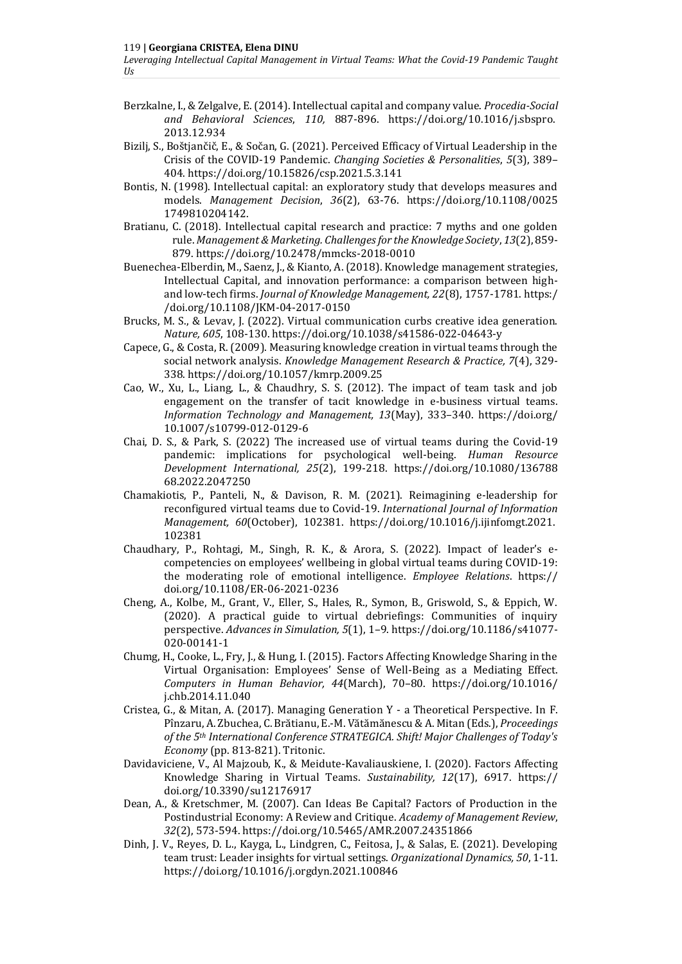- Berzkalne, I., & Zelgalve, E. (2014). Intellectual capital and company value. *Procedia-Social and Behavioral Sciences*, *110,* 887-896. [https://doi.org/10.1016/j.sbspro.](https://doi.org/10.1016/j.sbspro.2013.12.934) [2013.12.934](https://doi.org/10.1016/j.sbspro.2013.12.934)
- Bizilj, S., Boštjančič, E., & Sočan, G. (2021). Perceived Efficacy of Virtual Leadership in the Crisis of the COVID-19 Pandemic. *Changing Societies & Personalities*, *5*(3), 389– 404[. https://doi.org/10.15826/csp.2021.5.3.141](https://doi.org/10.15826/csp.2021.5.3.141)
- Bontis, N. (1998). Intellectual capital: an exploratory study that develops measures and models. *Management Decision*, *36*(2), 63-76. https://doi.org[/10.1108/0025](https://doi.org/10.1108/00251749810204142) [1749810204142.](https://doi.org/10.1108/00251749810204142)
- Bratianu, C. (2018). Intellectual capital research and practice: 7 myths and one golden rule. *Management & Marketing. Challenges for the Knowledge Society*, *13*(2), 859- 879. https://doi.org[/10.2478/mmcks-2018-0010](http://dx.doi.org/10.2478/mmcks-2018-0010)
- Buenechea-Elberdin, M., Saenz, J., & Kianto, A. (2018). Knowledge management strategies, Intellectual Capital, and innovation performance: a comparison between highand low-tech firms. *Journal of Knowledge Management, 22*(8), 1757-1781[. https:/](https://doi.org/10.1108/JKM-04-2017-0150) [/doi.org/10.1108/JKM-04-2017-0150](https://doi.org/10.1108/JKM-04-2017-0150)
- Brucks, M. S., & Levav, J. (2022). Virtual communication curbs creative idea generation. *Nature, 605*, 108-130.<https://doi.org/10.1038/s41586-022-04643-y>
- Capece, G., & Costa, R. (2009). Measuring knowledge creation in virtual teams through the social network analysis. *[Knowledge Management Research & Practice,](javascript:void(0)) 7*(4), 329- 338. https://doi.org/10.1057/kmrp.2009.25
- Cao, W., Xu, L., Liang, L., & Chaudhry, S. S. (2012). The impact of team task and job engagement on the transfer of tacit knowledge in e-business virtual teams. *Information Technology and Management, 13*(May), 333–340. https://doi.org/ 10.1007/s10799-012-0129-6
- Chai, D. S., & Park, S. (2022) The increased use of virtual teams during the Covid-19 pandemic: implications for psychological well-being. *Human Resource Development International, 25*(2), 199-218. https://doi.org/10.1080/136788 68.2022.2047250
- Chamakiotis, P., Panteli, N., & Davison, R. M. (2021). Reimagining e-leadership for reconfigured virtual teams due to Covid-19. *International Journal of Information Management, 60*(October), 102381. https://doi.org/10.1016/j.ijinfomgt.2021. 102381
- Chaudhary, P., Rohtagi, M., Singh, R. K., & Arora, S. (2022). Impact of leader's ecompetencies on employees' wellbeing in global virtual teams during COVID-19: the moderating role of emotional intelligence. *Employee Relations*. https:// doi.org/10.1108/ER-06-2021-0236
- Cheng, A., Kolbe, M., Grant, V., Eller, S., Hales, R., Symon, B., Griswold, S., & Eppich, W. (2020). A practical guide to virtual debriefings: Communities of inquiry perspective. *Advances in Simulation, 5*(1), 1–9. [https://doi.org/10.1186/s41077-](https://doi.org/10.1186/s41077-020-00141-1) [020-00141-1](https://doi.org/10.1186/s41077-020-00141-1)
- Chumg, H., Cooke, L., Fry, J., & Hung, I. (2015). Factors Affecting Knowledge Sharing in the Virtual Organisation: Employees' Sense of Well-Being as a Mediating Effect. *Computers in Human Behavior, 44*(March), 70–80. https://doi.org/10.1016/ j.chb.2014.11.040
- Cristea, G., & Mitan, A. (2017). Managing Generation Y a Theoretical Perspective. In F. Pînzaru, A. Zbuchea, C. Brătianu, E.-M. Vătămănescu & A. Mitan (Eds.), *Proceedings of the 5th International Conference STRATEGICA. Shift! Major Challenges of Today's Economy* (pp. 813-821). Tritonic.
- Davidaviciene, V., Al Majzoub, K., & Meidute-Kavaliauskiene, I. (2020). Factors Affecting Knowledge Sharing in Virtual Teams. *Sustainability, 12*(17), 6917. https:// doi.org/10.3390/su12176917
- Dean, A., & Kretschmer, M. (2007). Can Ideas Be Capital? Factors of Production in the Postindustrial Economy: A Review and Critique. *Academy of Management Review*, *32*(2), 573-594. https://doi.org[/10.5465/AMR.2007.24351866](http://dx.doi.org/10.5465/AMR.2007.24351866)
- Dinh, J. V., Reyes, D. L., Kayga, L., Lindgren, C., Feitosa, J., & Salas, E. (2021). Developing team trust: Leader insights for virtual settings. *Organizational Dynamics, 50*, 1-11. <https://doi.org/10.1016/j.orgdyn.2021.100846>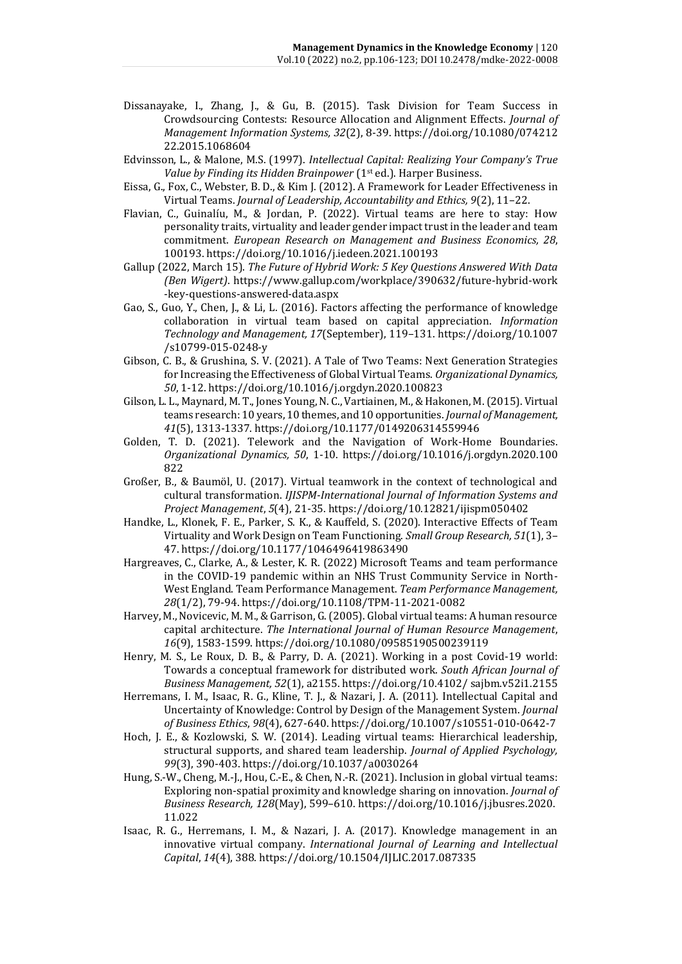- Dissanayake, I., Zhang, J., & Gu, B. (2015). Task Division for Team Success in Crowdsourcing Contests: Resource Allocation and Alignment Effects. *[Journal of](javascript:void(0))  [Management Information Systems,](javascript:void(0)) 32*(2), 8-39. https://doi.org/10.1080/074212 22.2015.1068604
- Edvinsson, L., & Malone, M.S. (1997). *Intellectual Capital: Realizing Your Company's True Value by Finding its Hidden Brainpower* (1<sup>st</sup> ed.). Harper Business.
- Eissa, G., Fox, C., Webster, B. D., & Kim J. (2012). A Framework for Leader Effectiveness in Virtual Teams. *Journal of Leadership, Accountability and Ethics, 9*(2), 11–22.
- Flavian, C., Guinalíu, M., & Jordan, P. (2022). Virtual teams are here to stay: How personality traits, virtuality and leader gender impact trust in the leader and team commitment. *European Research on Management and Business Economics, 28*, 100193.<https://doi.org/10.1016/j.iedeen.2021.100193>
- Gallup (2022, March 15). *The Future of Hybrid Work: 5 Key Questions Answered With Data (Ben Wigert)*. [https://www.gallup.com/workplace/390632/future-hybrid-work](https://www.gallup.com/workplace/390632/future-hybrid-work-key-questions-answered-data.aspx) [-key-questions-answered-data.aspx](https://www.gallup.com/workplace/390632/future-hybrid-work-key-questions-answered-data.aspx)
- Gao, S., Guo, Y., Chen, J., & Li, L. (2016). Factors affecting the performance of knowledge collaboration in virtual team based on capital appreciation. *Information Technology and Management, 17*(September), 119–131. https://doi.org/10.1007 /s10799-015-0248-y
- Gibson, C. B., & Grushina, S. V. (2021). A Tale of Two Teams: Next Generation Strategies for Increasing the Effectiveness of Global Virtual Teams. *Organizational Dynamics, 50*, 1-12[. https://doi.org/10.1016/j.orgdyn.2020.100823](https://doi.org/10.1016/j.orgdyn.2020.100823)
- Gilson, L. L., Maynard, M. T., Jones Young, N. C., Vartiainen, M., & Hakonen, M. (2015). Virtual teams research: 10 years, 10 themes, and 10 opportunities. *Journal of Management, 41*(5), 1313-1337. [https://doi.org/10.1177/0149206314559946](https://doi.org/10.1177%2F0149206314559946)
- Golden, T. D. (2021). Telework and the Navigation of Work-Home Boundaries. *Organizational Dynamics, 50*, 1-10. https://doi.org/10.1016/j.orgdyn.2020.100 822
- Großer, B., & Baumöl, U. (2017). Virtual teamwork in the context of technological and cultural transformation. *IJISPM-International Journal of Information Systems and Project Management*, *5*(4), 21-35.<https://doi.org/10.12821/ijispm050402>
- Handke, L., Klonek, F. E., Parker, S. K., & Kauffeld, S. (2020). Interactive Effects of Team Virtuality and Work Design on Team Functioning. *Small Group Research, 51*(1), 3– 47. https://doi.org/10.1177/1046496419863490
- Hargreaves, C., Clarke, A., & Lester, K. R. (2022) Microsoft Teams and team performance in the COVID-19 pandemic within an NHS Trust Community Service in North-West England. Team Performance Management. *Team Performance Management, 28*(1/2), 79-94. <https://doi.org/10.1108/TPM-11-2021-0082>
- Harvey, M., Novicevic, M. M., & Garrison, G. (2005). Global virtual teams: A human resource capital architecture. *The International Journal of Human Resource Management*, *16*(9), 1583-1599.<https://doi.org/10.1080/09585190500239119>
- Henry, M. S., Le Roux, D. B., & Parry, D. A. (2021). Working in a post Covid-19 world: Towards a conceptual framework for distributed work. *South African Journal of Business Management, 52*(1), a2155. https://doi.org/10.4102/ sajbm.v52i1.2155
- Herremans, I. M., Isaac, R. G., Kline, T. J., & Nazari, J. A. (2011). Intellectual Capital and Uncertainty of Knowledge: Control by Design of the Management System. *Journal of Business Ethics*, *98*(4), 627-640. <https://doi.org/10.1007/s10551-010-0642-7>
- Hoch, J. E., & Kozlowski, S. W. (2014). Leading virtual teams: Hierarchical leadership, structural supports, and shared team leadership. *Journal of Applied Psychology, 99*(3), 390-403. https://doi.org[/10.1037/a0030264](https://doi.org/10.1037/a0030264)
- Hung, S.-W., Cheng, M.-J., Hou, C.-E., & Chen, N.-R. (2021). Inclusion in global virtual teams: Exploring non-spatial proximity and knowledge sharing on innovation. *Journal of Business Research, 128*(May), 599–610. https://doi.org/10.1016/j.jbusres.2020. 11.022
- Isaac, R. G., Herremans, I. M., & Nazari, J. A. (2017). Knowledge management in an innovative virtual company. *[International Journal of Learning and Intellectual](https://www.researchgate.net/journal/International-Journal-of-Learning-and-Intellectual-Capital-1479-4861)  [Capital](https://www.researchgate.net/journal/International-Journal-of-Learning-and-Intellectual-Capital-1479-4861)*, *14*(4), 388. https://doi.org/10.1504/IJLIC.2017.087335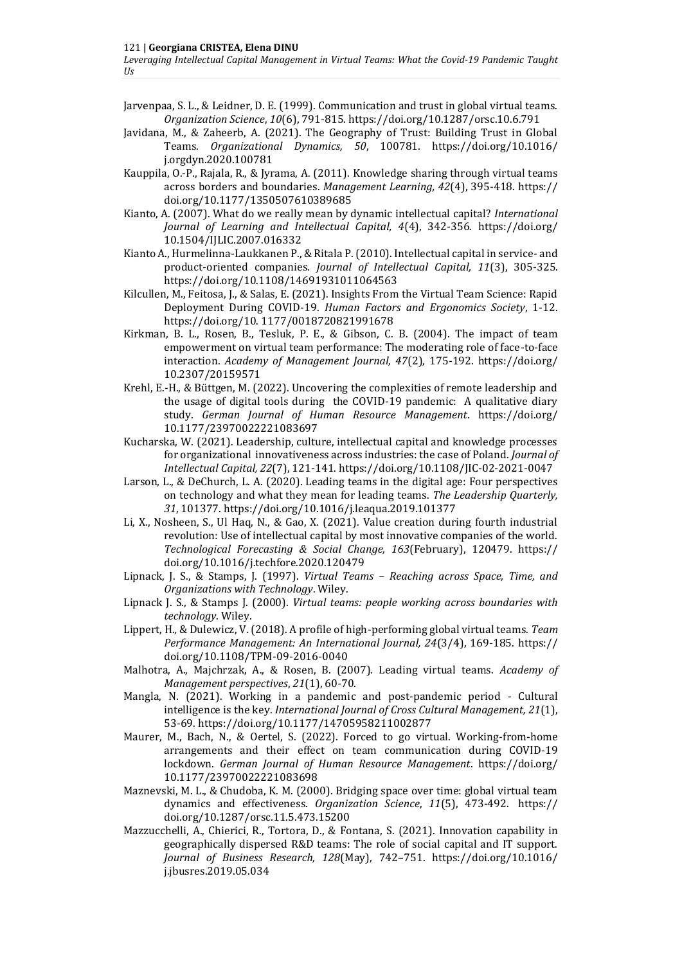Jarvenpaa, S. L., & Leidner, D. E. (1999). Communication and trust in global virtual teams. *Organization Science*, *10*(6), 791-815. https://doi.org/10.1287/orsc.10.6.791

- Javidana, M., & Zaheerb, A. (2021). The Geography of Trust: Building Trust in Global Teams. *Organizational Dynamics, 50*, 100781. [https://doi.org/10.1016/](https://doi.org/10.1016/j.orgdyn.2020.100781) [j.orgdyn.2020.100781](https://doi.org/10.1016/j.orgdyn.2020.100781)
- Kauppila, O.-P., Rajala, R., & Jyrama, A. (2011). Knowledge sharing through virtual teams across borders and boundaries. *[Management Learning,](javascript:void(0)) 42*(4), 395-418. https:// doi.org/10.1177/1350507610389685
- Kianto, A. (2007). What do we really mean by dynamic intellectual capital? *International Journal of Learning and Intellectual Capital, 4*(4), 342-356*.* https://doi.org/ [10.1504/IJLIC.2007.016332](http://dx.doi.org/10.1504/IJLIC.2007.016332)
- Kianto A., Hurmelinna-Laukkanen P., & Ritala P. (2010). Intellectual capital in service- and product-oriented companies. *Journal of Intellectual Capital, 11*(3), 305-325. https://doi.org/10.1108/14691931011064563
- Kilcullen, M., Feitosa, J., & Salas, E. (2021). Insights From the Virtual Team Science: Rapid Deployment During COVID-19. *Human Factors and Ergonomics Society*, 1-12. https://doi.org/10. 1177/0018720821991678
- Kirkman, B. L., Rosen, B., Tesluk, P. E., & Gibson, C. B. (2004). The impact of team empowerment on virtual team performance: The moderating role of face-to-face interaction. *Academy of Management Journal, 47*(2), 175-192. [https://doi.org/](https://doi.org/10.2307/20159571) [10.2307/20159571](https://doi.org/10.2307/20159571)
- Krehl, E.-H., & Büttgen, M. (2022). Uncovering the complexities of remote leadership and the usage of digital tools during the COVID-19 pandemic: A qualitative diary study. *German Journal of Human Resource Management*. https://doi.org/ 10.1177/23970022221083697
- Kucharska, W. (2021). Leadership, culture, intellectual capital and knowledge processes for organizational innovativeness across industries: the case of Poland. *Journal of Intellectual Capital, 22*(7), 121-141. https://doi.org/10.1108/JIC-02-2021-0047
- Larson, L., & DeChurch, L. A. (2020). Leading teams in the digital age: Four perspectives on technology and what they mean for leading teams. *The Leadership Quarterly, 31*, 101377[. https://doi.org/10.1016/j.leaqua.2019.101377](https://doi.org/10.1016/j.leaqua.2019.101377)
- Li, X., Nosheen, S., Ul Haq, N., & Gao, X. (2021). Value creation during fourth industrial revolution: Use of intellectual capital by most innovative companies of the world. *Technological Forecasting & Social Change, 163*(February), 120479. [https://](https://doi.org/10.1016/j.techfore.2020.120479) [doi.org/10.1016/j.techfore.2020.120479](https://doi.org/10.1016/j.techfore.2020.120479)
- Lipnack, J. S., & Stamps, J. (1997). *Virtual Teams – Reaching across Space, Time, and Organizations with Technology*. Wiley.
- Lipnack J. S., & Stamps J. (2000). *Virtual teams: people working across boundaries with technology*. Wiley.
- Lippert, H., & Dulewicz, V. (2018). A profile of high-performing global virtual teams. *Team Performance Management: An International Journal, 24*(3/4), 169-185. https:// doi.org/10.1108/TPM-09-2016-0040
- Malhotra, A., Majchrzak, A., & Rosen, B. (2007). Leading virtual teams. *Academy of Management perspectives*, *21*(1), 60-70.
- Mangla, N. (2021). Working in a pandemic and post-pandemic period Cultural intelligence is the key. *[International Journal of Cross Cultural Management,](javascript:void(0)) 21*(1), 53-69. https://doi.org/10.1177/14705958211002877
- Maurer, M., Bach, N., & Oertel, S. (2022). Forced to go virtual. Working-from-home arrangements and their effect on team communication during COVID-19 lockdown. *German Journal of Human Resource Management*. [https://doi.org/](https://doi.org/10.1177/23970022221083698) [10.1177/23970022221083698](https://doi.org/10.1177/23970022221083698)
- Maznevski, M. L., & Chudoba, K. M. (2000). Bridging space over time: global virtual team dynamics and effectiveness. *Organization Science*, *11*(5), 473-492. [https://](https://psycnet.apa.org/doi/10.1287/orsc.11.5.473.15200) [doi.org/10.1287/orsc.11.5.473.15200](https://psycnet.apa.org/doi/10.1287/orsc.11.5.473.15200)
- Mazzucchelli, A., Chierici, R., Tortora, D., & Fontana, S. (2021). Innovation capability in geographically dispersed R&D teams: The role of social capital and IT support. *Journal of Business Research, 128*(May), 742–751. [https://doi.org/10.1016/](https://doi.org/10.1016/j.jbusres.2019.05.034) [j.jbusres.2019.05.034](https://doi.org/10.1016/j.jbusres.2019.05.034)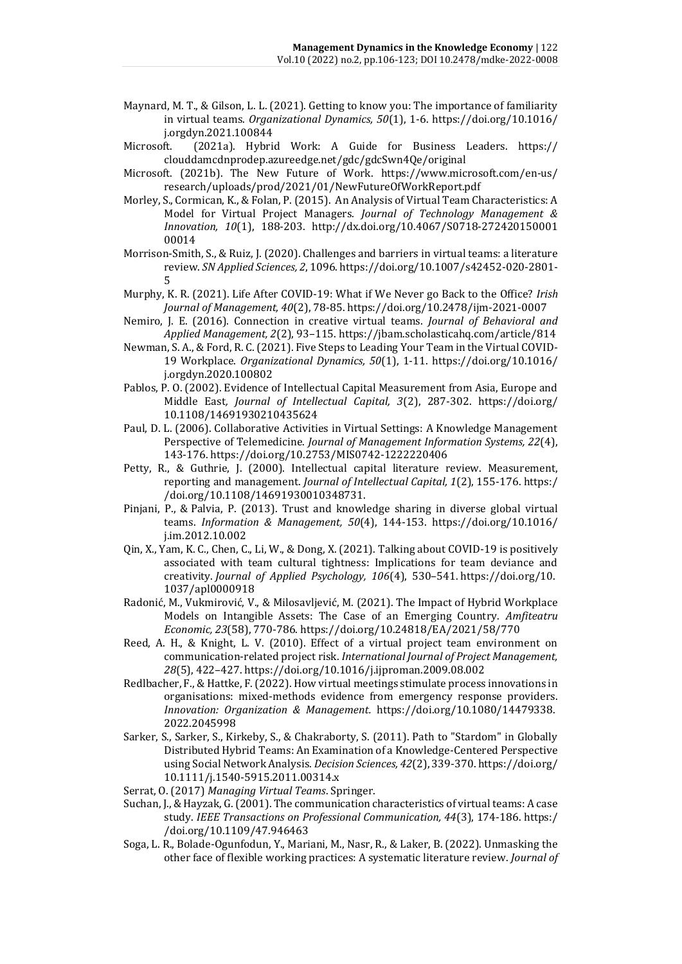- Maynard, M. T., & Gilson, L. L. (2021). Getting to know you: The importance of familiarity in virtual teams. *Organizational Dynamics, 50*(1), 1-6. [https://doi.org/10.1016/](https://doi.org/10.1016/j.orgdyn.2021.100844) [j.orgdyn.2021.100844](https://doi.org/10.1016/j.orgdyn.2021.100844)
- Microsoft. (2021a). Hybrid Work: A Guide for Business Leaders. [https://](https://clouddamcdnprodep.azureedge.net/gdc/gdcSwn4Qe/original) [clouddamcdnprodep.azureedge.net/gdc/gdcSwn4Qe/original](https://clouddamcdnprodep.azureedge.net/gdc/gdcSwn4Qe/original)
- Microsoft. (2021b). The New Future of Work. [https://www.microsoft.com/en-us/](https://www.microsoft.com/en-us/research/uploads/prod/2021/01/NewFutureOfWorkReport.pdf) [research/uploads/prod/2021/01/NewFutureOfWorkReport.pdf](https://www.microsoft.com/en-us/research/uploads/prod/2021/01/NewFutureOfWorkReport.pdf)
- Morley, S., Cormican, K., & Folan, P. (2015). An Analysis of Virtual Team Characteristics: A Model for Virtual Project Managers. *Journal of Technology Management & Innovation, 10*(1), 188-203. http://dx.doi.org/10.4067/S0718-272420150001 00014
- Morrison-Smith, S., & Ruiz, J. (2020). Challenges and barriers in virtual teams: a literature review. *SN Applied Sciences, 2*, 1096[. https://doi.org/10.1007/s42452-020-2801-](https://doi.org/10.1007/s42452-020-2801-5) [5](https://doi.org/10.1007/s42452-020-2801-5)
- Murphy, K. R. (2021). Life After COVID-19: What if We Never go Back to the Office? *Irish Journal of Management, 40*(2), 78-85. https://doi.org/10.2478/ijm-2021-0007
- Nemiro, J. E. (2016). Connection in creative virtual teams. *Journal of Behavioral and Applied Management, 2*(2), 93–115.<https://jbam.scholasticahq.com/article/814>
- Newman, S. A., & Ford, R. C. (2021). Five Steps to Leading Your Team in the Virtual COVID-19 Workplace. *Organizational Dynamics, 50*(1), 1-11. [https://doi.org/10.1016/](https://doi.org/10.1016/j.orgdyn.2020.100802) [j.orgdyn.2020.100802](https://doi.org/10.1016/j.orgdyn.2020.100802)
- Pablos, P. O. (2002). Evidence of Intellectual Capital Measurement from Asia, Europe and Middle East*, Journal of Intellectual Capital, 3*(2), 287-302. https://doi.org/ [10.1108/14691930210435624](http://dx.doi.org/10.1108/14691930210435624)
- Paul, D. L. (2006). Collaborative Activities in Virtual Settings: A Knowledge Management Perspective of Telemedicine. *Journal of Management Information Systems, 22*(4), 143-176. https://doi.org/10.2753/MIS0742-1222220406
- Petty, R., & Guthrie, J. (2000). Intellectual capital literature review. Measurement, reporting and management. *Journal of Intellectual Capital, 1*(2), 155-176. https:/ /doi.org/10.1108/14691930010348731.
- Pinjani, P., & Palvia, P. (2013). Trust and knowledge sharing in diverse global virtual teams. *[Information & Management,](javascript:void(0)) 50*(4), 144-153. https://doi.org/10.1016/ j.im.2012.10.002
- Qin, X., Yam, K. C., Chen, C., Li, W., & Dong, X. (2021). Talking about COVID-19 is positively associated with team cultural tightness: Implications for team deviance and creativity. *Journal of Applied Psychology, 106*(4), 530–541. [https://doi.org/10.](https://psycnet.apa.org/doi/10.1037/apl0000918) [1037/apl0000918](https://psycnet.apa.org/doi/10.1037/apl0000918)
- Radonić, M., Vukmirović, V., & Milosavljević, M. (2021). The Impact of Hybrid Workplace Models on Intangible Assets: The Case of an Emerging Country. *Amfiteatru Economic, 23*(58), 770-786. https://doi.org/10.24818/EA/2021/58/770
- Reed, A. H., & Knight, L. V. (2010). Effect of a virtual project team environment on communication-related project risk. *International Journal of Project Management, 28*(5), 422–427. https://doi.org/10.1016/j.ijproman.2009.08.002
- Redlbacher, F., & Hattke, F. (2022). How virtual meetings stimulate process innovations in organisations: mixed-methods evidence from emergency response providers. *[Innovation: Organization & Management.](javascript:void(0))* https://doi.org/10.1080/14479338. 2022.2045998
- Sarker, S., Sarker, S., Kirkeby, S., & Chakraborty, S. (2011). Path to "Stardom" in Globally Distributed Hybrid Teams: An Examination of a Knowledge-Centered Perspective using Social Network Analysis. *Decision Sciences, 42*(2), 339-370. https://doi.org/ 10.1111/j.1540-5915.2011.00314.x
- Serrat, O. (2017) *Managing Virtual Teams*. Springer.
- Suchan, J., & Hayzak, G. (2001). The communication characteristics of virtual teams: A case study. *IEEE Transactions on Professional Communication, 44*(3), 174-186. https:/ /doi.org/10.1109/47.946463
- Soga, L. R., Bolade-Ogunfodun, Y., Mariani, M., Nasr, R., & Laker, B. (2022). Unmasking the other face of flexible working practices: A systematic literature review. *Journal of*